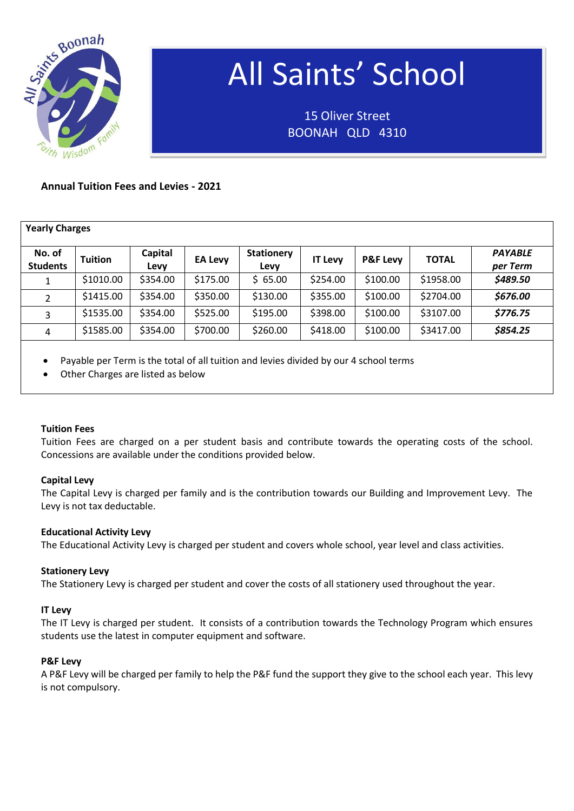

# All Saints' School

15 Oliver Street BOONAH QLD 4310

# **Annual Tuition Fees and Levies - 2021**

| <b>Yearly Charges</b>     |                |                 |                |                           |                |                     |              |                            |
|---------------------------|----------------|-----------------|----------------|---------------------------|----------------|---------------------|--------------|----------------------------|
| No. of<br><b>Students</b> | <b>Tuition</b> | Capital<br>Levy | <b>EA Levy</b> | <b>Stationery</b><br>Levy | <b>IT Levy</b> | <b>P&amp;F Levy</b> | <b>TOTAL</b> | <b>PAYABLE</b><br>per Term |
|                           | \$1010.00      | \$354.00        | \$175.00       | \$65.00                   | \$254.00       | \$100.00            | \$1958.00    | \$489.50                   |
| $\mathfrak{D}$            | \$1415.00      | \$354.00        | \$350.00       | \$130.00                  | \$355.00       | \$100.00            | \$2704.00    | \$676.00                   |
| 3                         | \$1535.00      | \$354.00        | \$525.00       | \$195.00                  | \$398.00       | \$100.00            | \$3107.00    | \$776.75                   |
| 4                         | \$1585.00      | \$354.00        | \$700.00       | \$260.00                  | \$418.00       | \$100.00            | \$3417.00    | \$854.25                   |

# Payable per Term is the total of all tuition and levies divided by our 4 school terms

Other Charges are listed as below

# **Tuition Fees**

Tuition Fees are charged on a per student basis and contribute towards the operating costs of the school. Concessions are available under the conditions provided below.

# **Capital Levy**

The Capital Levy is charged per family and is the contribution towards our Building and Improvement Levy. The Levy is not tax deductable.

#### **Educational Activity Levy**

The Educational Activity Levy is charged per student and covers whole school, year level and class activities.

#### **Stationery Levy**

The Stationery Levy is charged per student and cover the costs of all stationery used throughout the year.

#### **IT Levy**

The IT Levy is charged per student. It consists of a contribution towards the Technology Program which ensures students use the latest in computer equipment and software.

#### **P&F Levy**

A P&F Levy will be charged per family to help the P&F fund the support they give to the school each year. This levy is not compulsory.